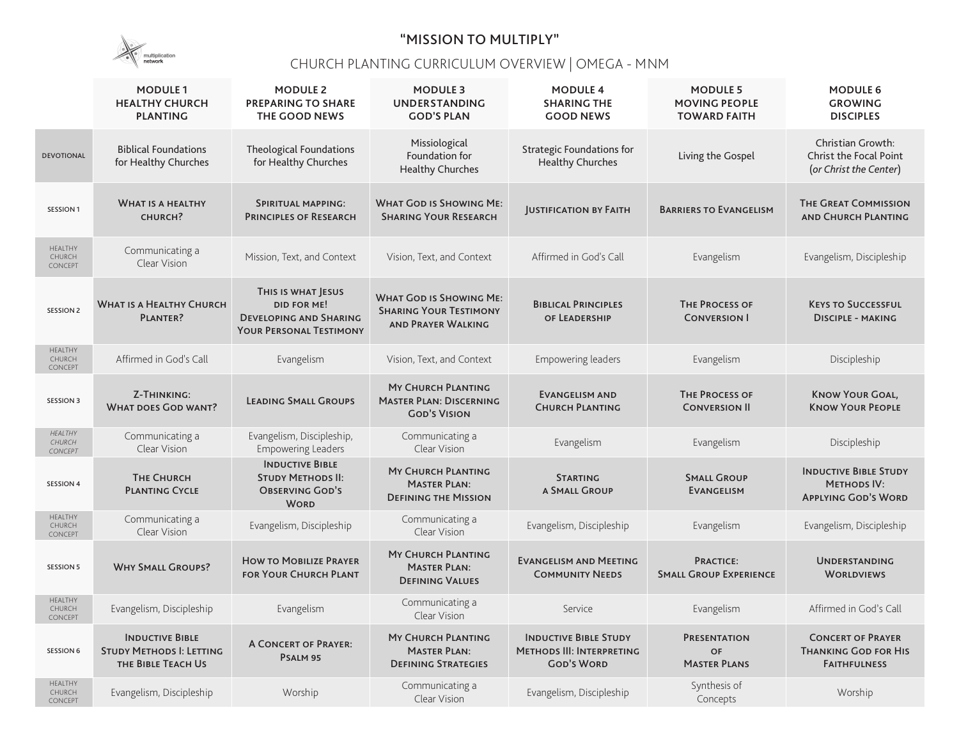

## "MISSION TO MULTIPLY"

## CHURCH PLANTING CURRICULUM OVERVIEW | OMEGA - MNM

|                                     | <b>MODULE 1</b><br><b>HEALTHY CHURCH</b><br><b>PLANTING</b>                     | <b>MODULE 2</b><br><b>PREPARING TO SHARE</b><br>THE GOOD NEWS                                               | <b>MODULE 3</b><br><b>UNDERSTANDING</b><br><b>GOD'S PLAN</b>                                 | <b>MODULE 4</b><br><b>SHARING THE</b><br><b>GOOD NEWS</b>                             | <b>MODULE 5</b><br><b>MOVING PEOPLE</b><br><b>TOWARD FAITH</b> | <b>MODULE 6</b><br><b>GROWING</b><br><b>DISCIPLES</b>                               |
|-------------------------------------|---------------------------------------------------------------------------------|-------------------------------------------------------------------------------------------------------------|----------------------------------------------------------------------------------------------|---------------------------------------------------------------------------------------|----------------------------------------------------------------|-------------------------------------------------------------------------------------|
| <b>DEVOTIONAL</b>                   | <b>Biblical Foundations</b><br>for Healthy Churches                             | <b>Theological Foundations</b><br>for Healthy Churches                                                      | Missiological<br>Foundation for<br><b>Healthy Churches</b>                                   | <b>Strategic Foundations for</b><br><b>Healthy Churches</b>                           | Living the Gospel                                              | <b>Christian Growth:</b><br><b>Christ the Focal Point</b><br>(or Christ the Center) |
| <b>SESSION 1</b>                    | <b>WHAT IS A HEALTHY</b><br>CHURCH?                                             | <b>SPIRITUAL MAPPING:</b><br><b>PRINCIPLES OF RESEARCH</b>                                                  | <b>WHAT GOD IS SHOWING ME:</b><br><b>SHARING YOUR RESEARCH</b>                               | <b>JUSTIFICATION BY FAITH</b>                                                         | <b>BARRIERS TO EVANGELISM</b>                                  | <b>THE GREAT COMMISSION</b><br><b>AND CHURCH PLANTING</b>                           |
| HEALTHY<br>CHURCH<br>CONCEPT        | Communicating a<br>Clear Vision                                                 | Mission, Text, and Context                                                                                  | Vision, Text, and Context                                                                    | Affirmed in God's Call                                                                | Evangelism                                                     | Evangelism, Discipleship                                                            |
| <b>SESSION 2</b>                    | <b>WHAT IS A HEALTHY CHURCH</b><br>PLANTER?                                     | THIS IS WHAT JESUS<br><b>DID FOR ME!</b><br><b>DEVELOPING AND SHARING</b><br><b>YOUR PERSONAL TESTIMONY</b> | <b>WHAT GOD IS SHOWING ME:</b><br><b>SHARING YOUR TESTIMONY</b><br><b>AND PRAYER WALKING</b> | <b>BIBLICAL PRINCIPLES</b><br>OF LEADERSHIP                                           | <b>THE PROCESS OF</b><br><b>CONVERSION I</b>                   | <b>KEYS TO SUCCESSFUL</b><br><b>DISCIPLE - MAKING</b>                               |
| HEALTHY<br>CHURCH<br>CONCEPT        | Affirmed in God's Call                                                          | Evangelism                                                                                                  | Vision, Text, and Context                                                                    | Empowering leaders                                                                    | Evangelism                                                     | Discipleship                                                                        |
| <b>SESSION 3</b>                    | <b>Z-THINKING:</b><br><b>WHAT DOES GOD WANT?</b>                                | <b>LEADING SMALL GROUPS</b>                                                                                 | <b>MY CHURCH PLANTING</b><br><b>MASTER PLAN: DISCERNING</b><br><b>GOD'S VISION</b>           | <b>EVANGELISM AND</b><br><b>CHURCH PLANTING</b>                                       | <b>THE PROCESS OF</b><br><b>CONVERSION II</b>                  | <b>KNOW YOUR GOAL,</b><br><b>KNOW YOUR PEOPLE</b>                                   |
| HEALTHY<br>CHURCH<br>CONCEPT        | Communicating a<br>Clear Vision                                                 | Evangelism, Discipleship,<br><b>Empowering Leaders</b>                                                      | Communicating a<br>Clear Vision                                                              | Evangelism                                                                            | Evangelism                                                     | Discipleship                                                                        |
| <b>SESSION 4</b>                    | <b>THE CHURCH</b><br><b>PLANTING CYCLE</b>                                      | <b>INDUCTIVE BIBLE</b><br><b>STUDY METHODS II:</b><br><b>OBSERVING GOD'S</b><br><b>WORD</b>                 | <b>MY CHURCH PLANTING</b><br><b>MASTER PLAN:</b><br><b>DEFINING THE MISSION</b>              | <b>STARTING</b><br>A SMALL GROUP                                                      | <b>SMALL GROUP</b><br><b>EVANGELISM</b>                        | <b>INDUCTIVE BIBLE STUDY</b><br><b>METHODS IV:</b><br><b>APPLYING GOD'S WORD</b>    |
| HEALTHY<br>CHURCH<br>CONCEPT        | Communicating a<br>Clear Vision                                                 | Evangelism, Discipleship                                                                                    | Communicating a<br>Clear Vision                                                              | Evangelism, Discipleship                                                              | Evangelism                                                     | Evangelism, Discipleship                                                            |
| <b>SESSION 5</b>                    | <b>WHY SMALL GROUPS?</b>                                                        | <b>HOW TO MOBILIZE PRAYER</b><br><b>FOR YOUR CHURCH PLANT</b>                                               | <b>MY CHURCH PLANTING</b><br><b>MASTER PLAN:</b><br><b>DEFINING VALUES</b>                   | <b>EVANGELISM AND MEETING</b><br><b>COMMUNITY NEEDS</b>                               | <b>PRACTICE:</b><br><b>SMALL GROUP EXPERIENCE</b>              | <b>UNDERSTANDING</b><br><b>WORLDVIEWS</b>                                           |
| HEALTHY<br>CHURCH<br>CONCEPT        | Evangelism, Discipleship                                                        | Evangelism                                                                                                  | Communicating a<br>Clear Vision                                                              | Service                                                                               | Evangelism                                                     | Affirmed in God's Call                                                              |
| <b>SESSION 6</b>                    | <b>INDUCTIVE BIBLE</b><br><b>STUDY METHODS I: LETTING</b><br>THE BIBLE TEACH US | <b>A CONCERT OF PRAYER:</b><br>PSALM 95                                                                     | <b>MY CHURCH PLANTING</b><br><b>MASTER PLAN:</b><br><b>DEFINING STRATEGIES</b>               | <b>INDUCTIVE BIBLE STUDY</b><br><b>METHODS III: INTERPRETING</b><br><b>GOD'S WORD</b> | <b>PRESENTATION</b><br>OF<br><b>MASTER PLANS</b>               | <b>CONCERT OF PRAYER</b><br><b>THANKING GOD FOR HIS</b><br><b>FAITHFULNESS</b>      |
| <b>HEALTHY</b><br>CHURCH<br>CONCEPT | Evangelism, Discipleship                                                        | Worship                                                                                                     | Communicating a<br>Clear Vision                                                              | Evangelism, Discipleship                                                              | Synthesis of<br>Concepts                                       | Worship                                                                             |